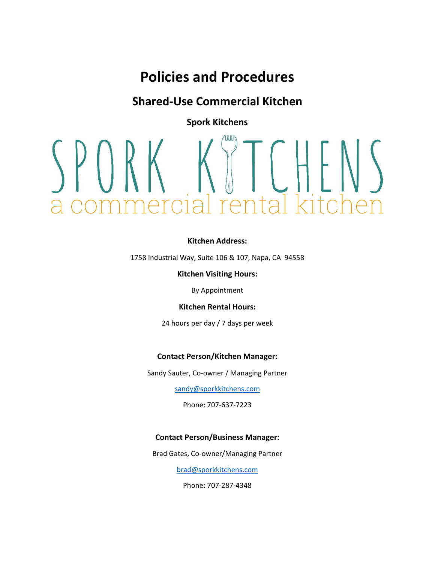## **Shared-Use Commercial Kitchen**

**Spork Kitchens**

# renta

### **Kitchen Address:**

1758 Industrial Way, Suite 106 & 107, Napa, CA 94558

**Kitchen Visiting Hours:**

By Appointment

**Kitchen Rental Hours:**

24 hours per day / 7 days per week

### **Contact Person/Kitchen Manager:**

Sandy Sauter, Co-owner / Managing Partner

sandy@sporkkitchens.com

Phone: 707-637-7223

### **Contact Person/Business Manager:**

Brad Gates, Co-owner/Managing Partner

brad@sporkkitchens.com

Phone: 707-287-4348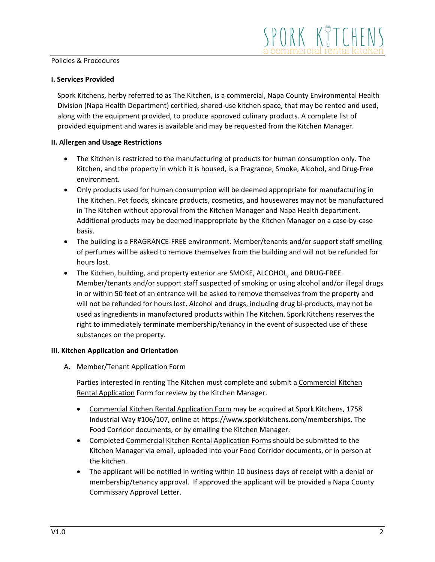### **I. Services Provided**

Spork Kitchens, herby referred to as The Kitchen, is a commercial, Napa County Environmental Health Division (Napa Health Department) certified, shared-use kitchen space, that may be rented and used, along with the equipment provided, to produce approved culinary products. A complete list of provided equipment and wares is available and may be requested from the Kitchen Manager.

### **II. Allergen and Usage Restrictions**

- The Kitchen is restricted to the manufacturing of products for human consumption only. The Kitchen, and the property in which it is housed, is a Fragrance, Smoke, Alcohol, and Drug-Free environment.
- Only products used for human consumption will be deemed appropriate for manufacturing in The Kitchen. Pet foods, skincare products, cosmetics, and housewares may not be manufactured in The Kitchen without approval from the Kitchen Manager and Napa Health department. Additional products may be deemed inappropriate by the Kitchen Manager on a case-by-case basis.
- The building is a FRAGRANCE-FREE environment. Member/tenants and/or support staff smelling of perfumes will be asked to remove themselves from the building and will not be refunded for hours lost.
- The Kitchen, building, and property exterior are SMOKE, ALCOHOL, and DRUG-FREE. Member/tenants and/or support staff suspected of smoking or using alcohol and/or illegal drugs in or within 50 feet of an entrance will be asked to remove themselves from the property and will not be refunded for hours lost. Alcohol and drugs, including drug bi-products, may not be used as ingredients in manufactured products within The Kitchen. Spork Kitchens reserves the right to immediately terminate membership/tenancy in the event of suspected use of these substances on the property.

### **III. Kitchen Application and Orientation**

A. Member/Tenant Application Form

Parties interested in renting The Kitchen must complete and submit a Commercial Kitchen Rental Application Form for review by the Kitchen Manager.

- Commercial Kitchen Rental Application Form may be acquired at Spork Kitchens, 1758 Industrial Way #106/107, online at https://www.sporkkitchens.com/memberships, The Food Corridor documents, or by emailing the Kitchen Manager.
- Completed Commercial Kitchen Rental Application Forms should be submitted to the Kitchen Manager via email, uploaded into your Food Corridor documents, or in person at the kitchen.
- The applicant will be notified in writing within 10 business days of receipt with a denial or membership/tenancy approval. If approved the applicant will be provided a Napa County Commissary Approval Letter.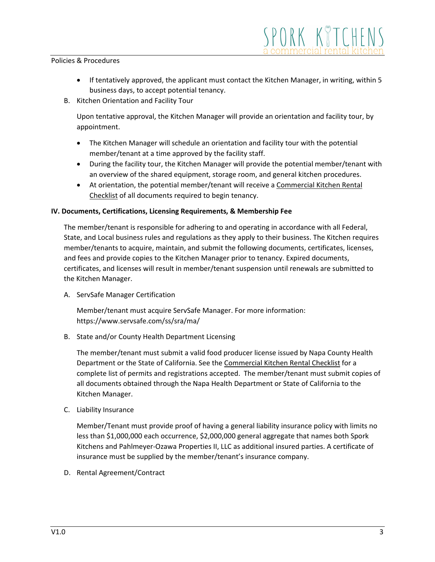If tentatively approved, the applicant must contact the Kitchen Manager, in writing, within 5 business days, to accept potential tenancy.

SPORK KTTCHEI

B. Kitchen Orientation and Facility Tour

Upon tentative approval, the Kitchen Manager will provide an orientation and facility tour, by appointment.

- The Kitchen Manager will schedule an orientation and facility tour with the potential member/tenant at a time approved by the facility staff.
- During the facility tour, the Kitchen Manager will provide the potential member/tenant with an overview of the shared equipment, storage room, and general kitchen procedures.
- At orientation, the potential member/tenant will receive a Commercial Kitchen Rental Checklist of all documents required to begin tenancy.

### **IV. Documents, Certifications, Licensing Requirements, & Membership Fee**

The member/tenant is responsible for adhering to and operating in accordance with all Federal, State, and Local business rules and regulations as they apply to their business. The Kitchen requires member/tenants to acquire, maintain, and submit the following documents, certificates, licenses, and fees and provide copies to the Kitchen Manager prior to tenancy. Expired documents, certificates, and licenses will result in member/tenant suspension until renewals are submitted to the Kitchen Manager.

A. ServSafe Manager Certification

Member/tenant must acquire ServSafe Manager. For more information: https://www.servsafe.com/ss/sra/ma/

B. State and/or County Health Department Licensing

The member/tenant must submit a valid food producer license issued by Napa County Health Department or the State of California. See the Commercial Kitchen Rental Checklist for a complete list of permits and registrations accepted. The member/tenant must submit copies of all documents obtained through the Napa Health Department or State of California to the Kitchen Manager.

C. Liability Insurance

Member/Tenant must provide proof of having a general liability insurance policy with limits no less than \$1,000,000 each occurrence, \$2,000,000 general aggregate that names both Spork Kitchens and Pahlmeyer-Ozawa Properties II, LLC as additional insured parties. A certificate of insurance must be supplied by the member/tenant's insurance company.

D. Rental Agreement/Contract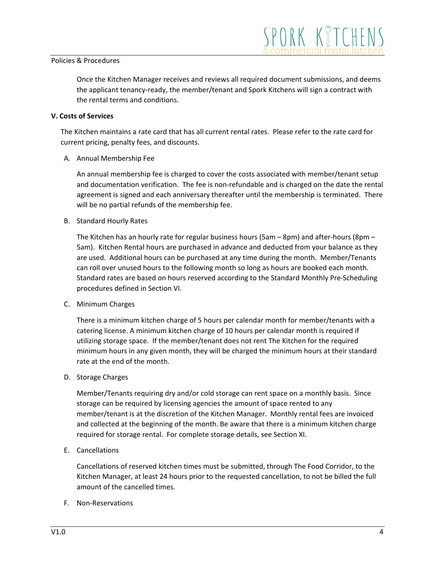Once the Kitchen Manager receives and reviews all required document submissions, and deems the applicant tenancy-ready, the member/tenant and Spork Kitchens will sign a contract with the rental terms and conditions.

### **V. Costs of Services**

The Kitchen maintains a rate card that has all current rental rates. Please refer to the rate card for current pricing, penalty fees, and discounts.

A. Annual Membership Fee

An annual membership fee is charged to cover the costs associated with member/tenant setup and documentation verification. The fee is non-refundable and is charged on the date the rental agreement is signed and each anniversary thereafter until the membership is terminated. There will be no partial refunds of the membership fee.

B. Standard Hourly Rates

The Kitchen has an hourly rate for regular business hours (5am – 8pm) and after-hours (8pm – 5am). Kitchen Rental hours are purchased in advance and deducted from your balance as they are used. Additional hours can be purchased at any time during the month. Member/Tenants can roll over unused hours to the following month so long as hours are booked each month. Standard rates are based on hours reserved according to the Standard Monthly Pre-Scheduling procedures defined in Section VI.

C. Minimum Charges

There is a minimum kitchen charge of 5 hours per calendar month for member/tenants with a catering license. A minimum kitchen charge of 10 hours per calendar month is required if utilizing storage space. If the member/tenant does not rent The Kitchen for the required minimum hours in any given month, they will be charged the minimum hours at their standard rate at the end of the month.

D. Storage Charges

Member/Tenants requiring dry and/or cold storage can rent space on a monthly basis. Since storage can be required by licensing agencies the amount of space rented to any member/tenant is at the discretion of the Kitchen Manager. Monthly rental fees are invoiced and collected at the beginning of the month. Be aware that there is a minimum kitchen charge required for storage rental. For complete storage details, see Section XI.

E. Cancellations

Cancellations of reserved kitchen times must be submitted, through The Food Corridor, to the Kitchen Manager, at least 24 hours prior to the requested cancellation, to not be billed the full amount of the cancelled times.

F. Non-Reservations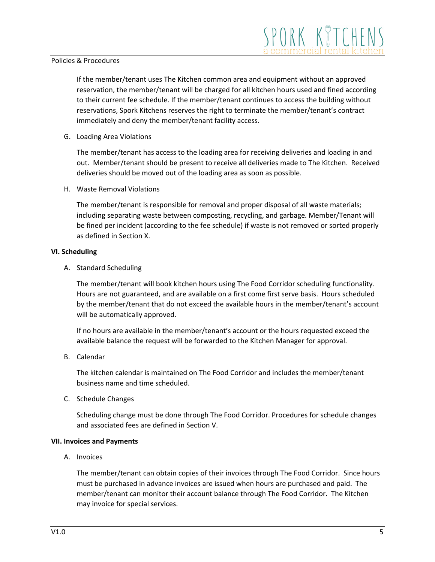If the member/tenant uses The Kitchen common area and equipment without an approved reservation, the member/tenant will be charged for all kitchen hours used and fined according to their current fee schedule. If the member/tenant continues to access the building without reservations, Spork Kitchens reserves the right to terminate the member/tenant's contract immediately and deny the member/tenant facility access.

G. Loading Area Violations

The member/tenant has access to the loading area for receiving deliveries and loading in and out. Member/tenant should be present to receive all deliveries made to The Kitchen. Received deliveries should be moved out of the loading area as soon as possible.

H. Waste Removal Violations

The member/tenant is responsible for removal and proper disposal of all waste materials; including separating waste between composting, recycling, and garbage. Member/Tenant will be fined per incident (according to the fee schedule) if waste is not removed or sorted properly as defined in Section X.

### **VI. Scheduling**

A. Standard Scheduling

The member/tenant will book kitchen hours using The Food Corridor scheduling functionality. Hours are not guaranteed, and are available on a first come first serve basis. Hours scheduled by the member/tenant that do not exceed the available hours in the member/tenant's account will be automatically approved.

If no hours are available in the member/tenant's account or the hours requested exceed the available balance the request will be forwarded to the Kitchen Manager for approval.

B. Calendar

The kitchen calendar is maintained on The Food Corridor and includes the member/tenant business name and time scheduled.

C. Schedule Changes

Scheduling change must be done through The Food Corridor. Procedures for schedule changes and associated fees are defined in Section V.

### **VII. Invoices and Payments**

A. Invoices

The member/tenant can obtain copies of their invoices through The Food Corridor. Since hours must be purchased in advance invoices are issued when hours are purchased and paid. The member/tenant can monitor their account balance through The Food Corridor. The Kitchen may invoice for special services.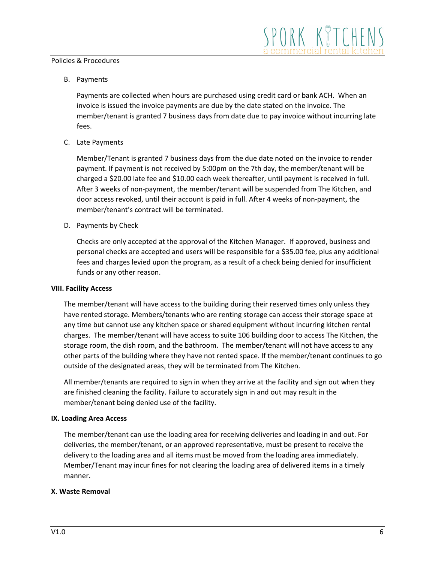B. Payments

Payments are collected when hours are purchased using credit card or bank ACH. When an invoice is issued the invoice payments are due by the date stated on the invoice. The member/tenant is granted 7 business days from date due to pay invoice without incurring late fees.

C. Late Payments

Member/Tenant is granted 7 business days from the due date noted on the invoice to render payment. If payment is not received by 5:00pm on the 7th day, the member/tenant will be charged a \$20.00 late fee and \$10.00 each week thereafter, until payment is received in full. After 3 weeks of non-payment, the member/tenant will be suspended from The Kitchen, and door access revoked, until their account is paid in full. After 4 weeks of non-payment, the member/tenant's contract will be terminated.

D. Payments by Check

Checks are only accepted at the approval of the Kitchen Manager. If approved, business and personal checks are accepted and users will be responsible for a \$35.00 fee, plus any additional fees and charges levied upon the program, as a result of a check being denied for insufficient funds or any other reason.

### **VIII. Facility Access**

The member/tenant will have access to the building during their reserved times only unless they have rented storage. Members/tenants who are renting storage can access their storage space at any time but cannot use any kitchen space or shared equipment without incurring kitchen rental charges. The member/tenant will have access to suite 106 building door to access The Kitchen, the storage room, the dish room, and the bathroom. The member/tenant will not have access to any other parts of the building where they have not rented space. If the member/tenant continues to go outside of the designated areas, they will be terminated from The Kitchen.

All member/tenants are required to sign in when they arrive at the facility and sign out when they are finished cleaning the facility. Failure to accurately sign in and out may result in the member/tenant being denied use of the facility.

### **IX. Loading Area Access**

The member/tenant can use the loading area for receiving deliveries and loading in and out. For deliveries, the member/tenant, or an approved representative, must be present to receive the delivery to the loading area and all items must be moved from the loading area immediately. Member/Tenant may incur fines for not clearing the loading area of delivered items in a timely manner.

### **X. Waste Removal**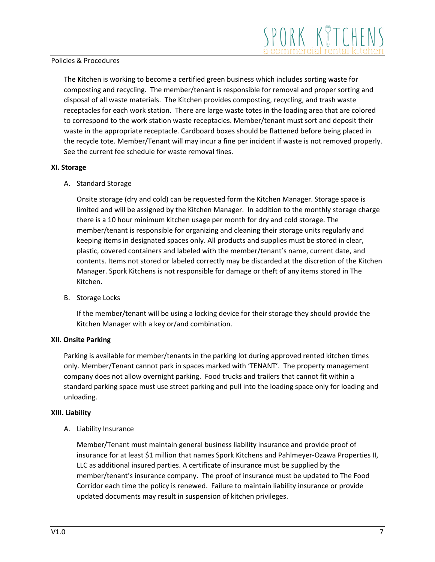The Kitchen is working to become a certified green business which includes sorting waste for composting and recycling. The member/tenant is responsible for removal and proper sorting and disposal of all waste materials. The Kitchen provides composting, recycling, and trash waste receptacles for each work station. There are large waste totes in the loading area that are colored to correspond to the work station waste receptacles. Member/tenant must sort and deposit their waste in the appropriate receptacle. Cardboard boxes should be flattened before being placed in the recycle tote. Member/Tenant will may incur a fine per incident if waste is not removed properly. See the current fee schedule for waste removal fines.

### **XI. Storage**

A. Standard Storage

Onsite storage (dry and cold) can be requested form the Kitchen Manager. Storage space is limited and will be assigned by the Kitchen Manager. In addition to the monthly storage charge there is a 10 hour minimum kitchen usage per month for dry and cold storage. The member/tenant is responsible for organizing and cleaning their storage units regularly and keeping items in designated spaces only. All products and supplies must be stored in clear, plastic, covered containers and labeled with the member/tenant's name, current date, and contents. Items not stored or labeled correctly may be discarded at the discretion of the Kitchen Manager. Spork Kitchens is not responsible for damage or theft of any items stored in The Kitchen.

B. Storage Locks

If the member/tenant will be using a locking device for their storage they should provide the Kitchen Manager with a key or/and combination.

### **XII. Onsite Parking**

Parking is available for member/tenants in the parking lot during approved rented kitchen times only. Member/Tenant cannot park in spaces marked with 'TENANT'. The property management company does not allow overnight parking. Food trucks and trailers that cannot fit within a standard parking space must use street parking and pull into the loading space only for loading and unloading.

### **XIII. Liability**

A. Liability Insurance

Member/Tenant must maintain general business liability insurance and provide proof of insurance for at least \$1 million that names Spork Kitchens and Pahlmeyer-Ozawa Properties II, LLC as additional insured parties. A certificate of insurance must be supplied by the member/tenant's insurance company. The proof of insurance must be updated to The Food Corridor each time the policy is renewed. Failure to maintain liability insurance or provide updated documents may result in suspension of kitchen privileges.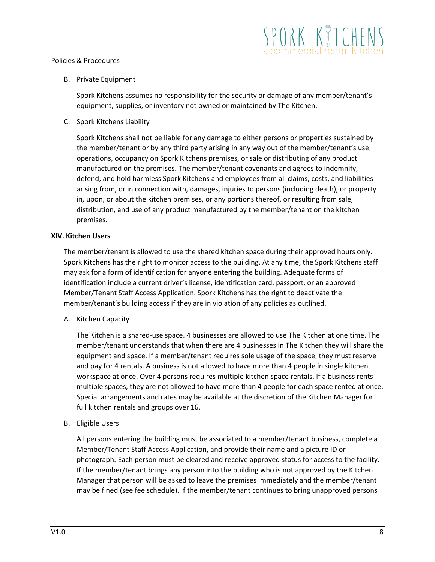### B. Private Equipment

Spork Kitchens assumes no responsibility for the security or damage of any member/tenant's equipment, supplies, or inventory not owned or maintained by The Kitchen.

C. Spork Kitchens Liability

Spork Kitchens shall not be liable for any damage to either persons or properties sustained by the member/tenant or by any third party arising in any way out of the member/tenant's use, operations, occupancy on Spork Kitchens premises, or sale or distributing of any product manufactured on the premises. The member/tenant covenants and agrees to indemnify, defend, and hold harmless Spork Kitchens and employees from all claims, costs, and liabilities arising from, or in connection with, damages, injuries to persons (including death), or property in, upon, or about the kitchen premises, or any portions thereof, or resulting from sale, distribution, and use of any product manufactured by the member/tenant on the kitchen premises.

### **XIV. Kitchen Users**

The member/tenant is allowed to use the shared kitchen space during their approved hours only. Spork Kitchens has the right to monitor access to the building. At any time, the Spork Kitchens staff may ask for a form of identification for anyone entering the building. Adequate forms of identification include a current driver's license, identification card, passport, or an approved Member/Tenant Staff Access Application. Spork Kitchens has the right to deactivate the member/tenant's building access if they are in violation of any policies as outlined.

A. Kitchen Capacity

The Kitchen is a shared-use space. 4 businesses are allowed to use The Kitchen at one time. The member/tenant understands that when there are 4 businesses in The Kitchen they will share the equipment and space. If a member/tenant requires sole usage of the space, they must reserve and pay for 4 rentals. A business is not allowed to have more than 4 people in single kitchen workspace at once. Over 4 persons requires multiple kitchen space rentals. If a business rents multiple spaces, they are not allowed to have more than 4 people for each space rented at once. Special arrangements and rates may be available at the discretion of the Kitchen Manager for full kitchen rentals and groups over 16.

B. Eligible Users

All persons entering the building must be associated to a member/tenant business, complete a Member/Tenant Staff Access Application, and provide their name and a picture ID or photograph. Each person must be cleared and receive approved status for access to the facility. If the member/tenant brings any person into the building who is not approved by the Kitchen Manager that person will be asked to leave the premises immediately and the member/tenant may be fined (see fee schedule). If the member/tenant continues to bring unapproved persons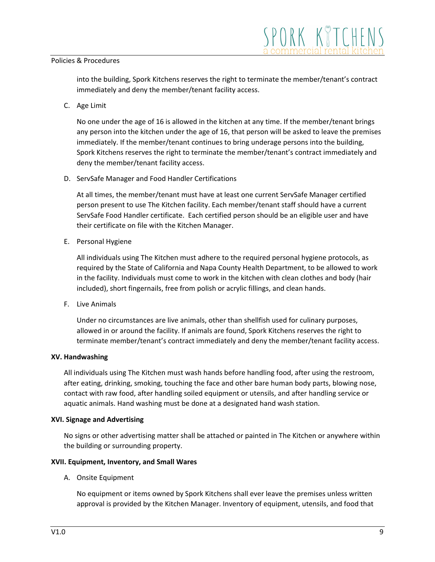into the building, Spork Kitchens reserves the right to terminate the member/tenant's contract immediately and deny the member/tenant facility access.

C. Age Limit

No one under the age of 16 is allowed in the kitchen at any time. If the member/tenant brings any person into the kitchen under the age of 16, that person will be asked to leave the premises immediately. If the member/tenant continues to bring underage persons into the building, Spork Kitchens reserves the right to terminate the member/tenant's contract immediately and deny the member/tenant facility access.

D. ServSafe Manager and Food Handler Certifications

At all times, the member/tenant must have at least one current ServSafe Manager certified person present to use The Kitchen facility. Each member/tenant staff should have a current ServSafe Food Handler certificate. Each certified person should be an eligible user and have their certificate on file with the Kitchen Manager.

E. Personal Hygiene

All individuals using The Kitchen must adhere to the required personal hygiene protocols, as required by the State of California and Napa County Health Department, to be allowed to work in the facility. Individuals must come to work in the kitchen with clean clothes and body (hair included), short fingernails, free from polish or acrylic fillings, and clean hands.

F. Live Animals

Under no circumstances are live animals, other than shellfish used for culinary purposes, allowed in or around the facility. If animals are found, Spork Kitchens reserves the right to terminate member/tenant's contract immediately and deny the member/tenant facility access.

### **XV. Handwashing**

All individuals using The Kitchen must wash hands before handling food, after using the restroom, after eating, drinking, smoking, touching the face and other bare human body parts, blowing nose, contact with raw food, after handling soiled equipment or utensils, and after handling service or aquatic animals. Hand washing must be done at a designated hand wash station.

### **XVI. Signage and Advertising**

No signs or other advertising matter shall be attached or painted in The Kitchen or anywhere within the building or surrounding property.

### **XVII. Equipment, Inventory, and Small Wares**

A. Onsite Equipment

No equipment or items owned by Spork Kitchens shall ever leave the premises unless written approval is provided by the Kitchen Manager. Inventory of equipment, utensils, and food that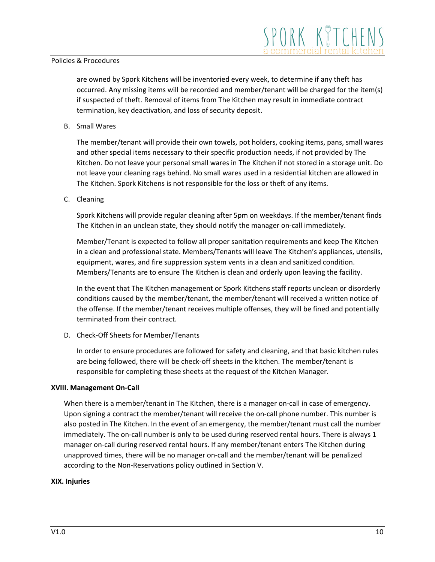are owned by Spork Kitchens will be inventoried every week, to determine if any theft has occurred. Any missing items will be recorded and member/tenant will be charged for the item(s) if suspected of theft. Removal of items from The Kitchen may result in immediate contract termination, key deactivation, and loss of security deposit.

B. Small Wares

The member/tenant will provide their own towels, pot holders, cooking items, pans, small wares and other special items necessary to their specific production needs, if not provided by The Kitchen. Do not leave your personal small wares in The Kitchen if not stored in a storage unit. Do not leave your cleaning rags behind. No small wares used in a residential kitchen are allowed in The Kitchen. Spork Kitchens is not responsible for the loss or theft of any items.

C. Cleaning

Spork Kitchens will provide regular cleaning after 5pm on weekdays. If the member/tenant finds The Kitchen in an unclean state, they should notify the manager on-call immediately.

Member/Tenant is expected to follow all proper sanitation requirements and keep The Kitchen in a clean and professional state. Members/Tenants will leave The Kitchen's appliances, utensils, equipment, wares, and fire suppression system vents in a clean and sanitized condition. Members/Tenants are to ensure The Kitchen is clean and orderly upon leaving the facility.

In the event that The Kitchen management or Spork Kitchens staff reports unclean or disorderly conditions caused by the member/tenant, the member/tenant will received a written notice of the offense. If the member/tenant receives multiple offenses, they will be fined and potentially terminated from their contract.

D. Check-Off Sheets for Member/Tenants

In order to ensure procedures are followed for safety and cleaning, and that basic kitchen rules are being followed, there will be check-off sheets in the kitchen. The member/tenant is responsible for completing these sheets at the request of the Kitchen Manager.

### **XVIII. Management On-Call**

When there is a member/tenant in The Kitchen, there is a manager on-call in case of emergency. Upon signing a contract the member/tenant will receive the on-call phone number. This number is also posted in The Kitchen. In the event of an emergency, the member/tenant must call the number immediately. The on-call number is only to be used during reserved rental hours. There is always 1 manager on-call during reserved rental hours. If any member/tenant enters The Kitchen during unapproved times, there will be no manager on-call and the member/tenant will be penalized according to the Non-Reservations policy outlined in Section V.

### **XIX. Injuries**